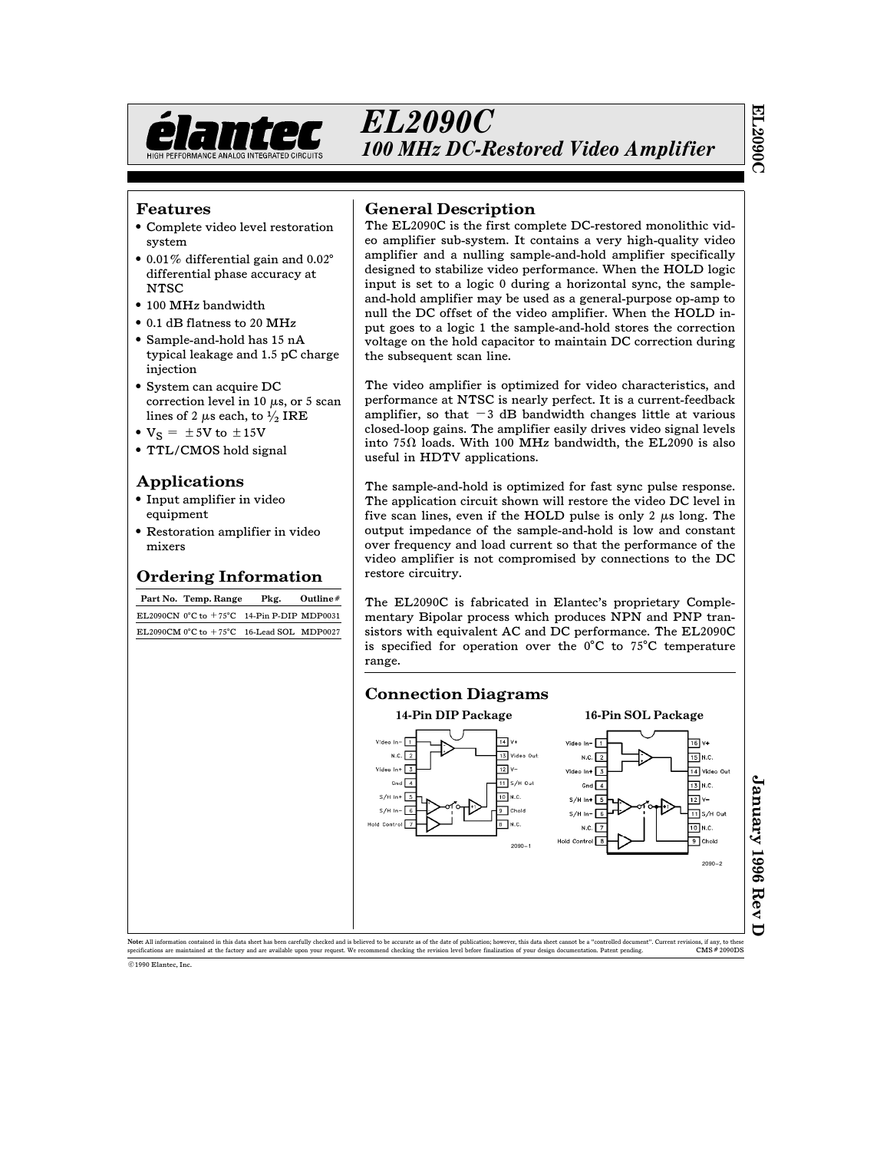

### Features

- Complete video level restoration system
- # 0.01% differential gain and 0.02§ differential phase accuracy at **NTSC**
- $\bullet$  100 MHz bandwidth
- 0.1 dB flatness to 20 MHz
- Sample-and-hold has 15 nA typical leakage and 1.5 pC charge injection
- System can acquire DC correction level in 10  $\mu$ s, or 5 scan lines of 2  $\mu$ s each, to  $\frac{1}{2}$  IRE
- $V_S = \pm 5V$  to  $\pm 15V$
- TTL/CMOS hold signal

### Applications

- Input amplifier in video equipment
- Restoration amplifier in video mixers

## Ordering Information

Part No. Temp. Range Pkg. Outline# EL2090CN  $0^{\circ}$ C to  $+75^{\circ}$ C 14-Pin P-DIP MDP0031 EL2090CM 0°C to  $+$  75°C  $\,$  16-Lead SOL  $\,$  MDP0027  $\,$ 

## General Description

The EL2090C is the first complete DC-restored monolithic video amplifier sub-system. It contains a very high-quality video amplifier and a nulling sample-and-hold amplifier specifically designed to stabilize video performance. When the HOLD logic input is set to a logic 0 during a horizontal sync, the sampleand-hold amplifier may be used as a general-purpose op-amp to null the DC offset of the video amplifier. When the HOLD input goes to a logic 1 the sample-and-hold stores the correction voltage on the hold capacitor to maintain DC correction during the subsequent scan line.

The video amplifier is optimized for video characteristics, and performance at NTSC is nearly perfect. It is a current-feedback amplifier, so that  $-3$  dB bandwidth changes little at various closed-loop gains. The amplifier easily drives video signal levels into 75 $\Omega$  loads. With 100 MHz bandwidth, the EL2090 is also useful in HDTV applications.

The sample-and-hold is optimized for fast sync pulse response. The application circuit shown will restore the video DC level in five scan lines, even if the HOLD pulse is only  $2 \mu s$  long. The output impedance of the sample-and-hold is low and constant over frequency and load current so that the performance of the video amplifier is not compromised by connections to the DC restore circuitry.

The EL2090C is fabricated in Elantec's proprietary Complementary Bipolar process which produces NPN and PNP transistors with equivalent AC and DC performance. The EL2090C is specified for operation over the  $0^{\circ}$ C to 75°C temperature range.



Note: All information contained in this data sheet has been carefully checked and is believed to be accurate as of the date of publication; however, this data sheet cannot be a "controlled document". Current revisions, if pecifications are maintained at the factory and are available upon your request. We recommend checking the revision level before finalization of your design documentation. Patent pending ©1990 Elantec, Inc.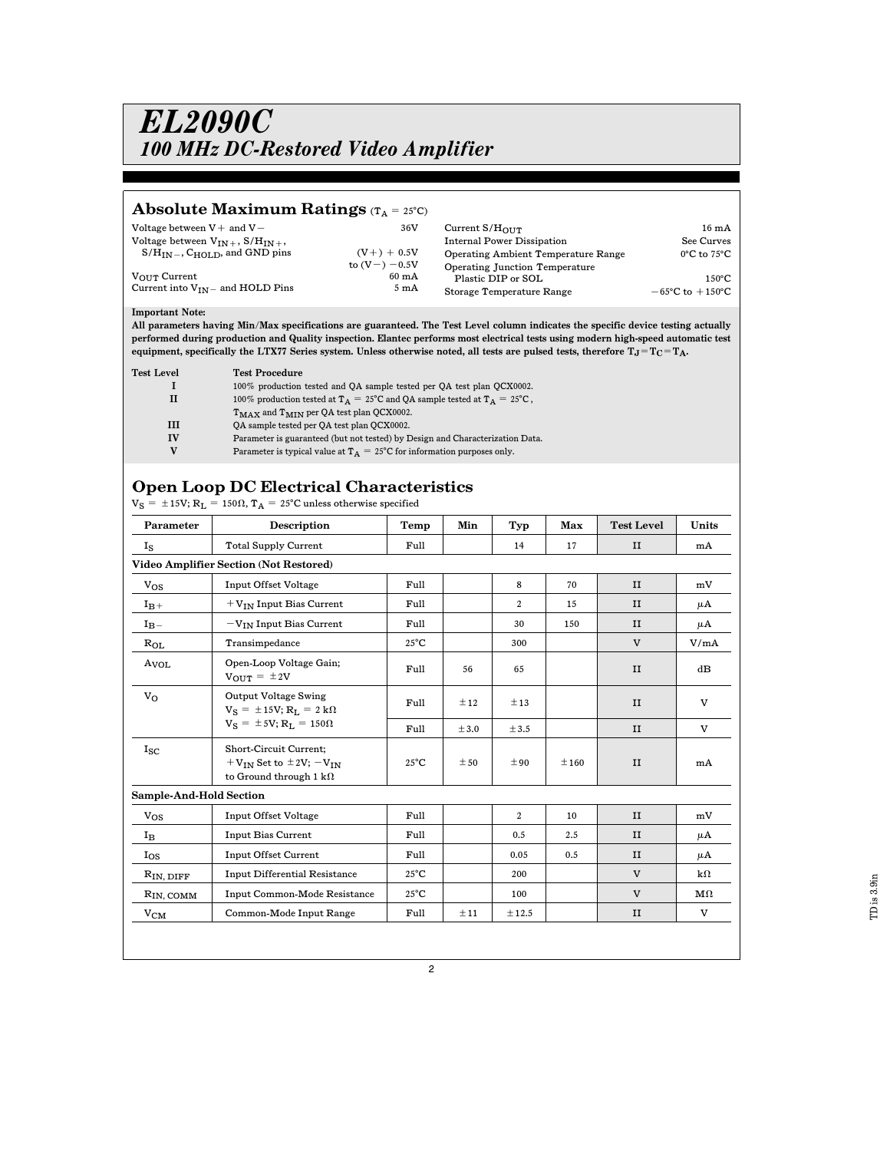### Absolute Maximum Ratings  $(T_A = 25^{\circ}C)$

| Voltage between $V$ + and $V$ -<br>Voltage between $V_{IN}$ + $S/H_{IN}$ + $\cdot$<br>$S/H_{IN}$ , C <sub>HOLD</sub> , and GND pins<br>$V_{\Omega I I T}$ Current<br>Current into $V_{IN}$ and HOLD Pins | 36V<br>$(V + ) + 0.5V$<br>to $(V - ) - 0.5V$<br>$60 \text{ mA}$<br>$5 \text{ mA}$ | Current $S/H_{\Omega IIT}$<br><b>Internal Power Dissipation</b><br><b>Operating Ambient Temperature Range</b><br>Operating Junction Temperature<br>Plastic DIP or SOL<br>Storage Temperature Range | $16 \text{ mA}$<br>See Curves<br>$0^{\circ}$ C to $75^{\circ}$ C<br>$150^{\circ}$ C<br>$-65^{\circ}$ C to $+150^{\circ}$ C |
|----------------------------------------------------------------------------------------------------------------------------------------------------------------------------------------------------------|-----------------------------------------------------------------------------------|----------------------------------------------------------------------------------------------------------------------------------------------------------------------------------------------------|----------------------------------------------------------------------------------------------------------------------------|
|----------------------------------------------------------------------------------------------------------------------------------------------------------------------------------------------------------|-----------------------------------------------------------------------------------|----------------------------------------------------------------------------------------------------------------------------------------------------------------------------------------------------|----------------------------------------------------------------------------------------------------------------------------|

#### Important Note:

All parameters having Min/Max specifications are guaranteed. The Test Level column indicates the specific device testing actually performed during production and Quality inspection. Elantec performs most electrical tests using modern high-speed automatic test equipment, specifically the LTX77 Series system. Unless otherwise noted, all tests are pulsed tests, therefore  $T_J = T_C = T_A$ .

| <b>Test Level</b> | <b>Test Procedure</b>                                                                        |
|-------------------|----------------------------------------------------------------------------------------------|
|                   | 100% production tested and OA sample tested per OA test plan OCX0002.                        |
| п                 | 100% production tested at $T_A = 25^{\circ}$ C and QA sample tested at $T_A = 25^{\circ}$ C, |
|                   | $T_{MAX}$ and $T_{MIN}$ per QA test plan QCX0002.                                            |
| Ш                 | OA sample tested per OA test plan OCX0002.                                                   |
| <b>IV</b>         | Parameter is guaranteed (but not tested) by Design and Characterization Data.                |
|                   | Parameter is typical value at $T_A = 25^{\circ}$ C for information purposes only.            |

## Open Loop DC Electrical Characteristics

 $V_S = \pm 15V$ ;  $R_L = 150\Omega$ ,  $T_A = 25^{\circ}$ C unless otherwise specified

| Parameter               | Description                                                                                       | Temp           | Min   | Typ   | Max  | <b>Test Level</b> | Units              |  |
|-------------------------|---------------------------------------------------------------------------------------------------|----------------|-------|-------|------|-------------------|--------------------|--|
| $I_{S}$                 | <b>Total Supply Current</b>                                                                       | Full           |       | 14    | 17   | II                | mA                 |  |
|                         | Video Amplifier Section (Not Restored)                                                            |                |       |       |      |                   |                    |  |
| $V_{OS}$                | <b>Input Offset Voltage</b>                                                                       | Full           |       | 8     | 70   | II                | mV                 |  |
| $I_{B+}$                | $+V_{IN}$ Input Bias Current                                                                      | Full           |       | 2     | 15   | II                | μA                 |  |
| $I_{B}$ -               | $-V_{IN}$ Input Bias Current                                                                      | Full           |       | 30    | 150  | II                | μA                 |  |
| $R_{OL}$                | Transimpedance                                                                                    | $25^{\circ}$ C |       | 300   |      | V                 | V/mA               |  |
| A <sub>VOL</sub>        | Open-Loop Voltage Gain;<br>$V_{\text{OUT}} = \pm 2V$                                              | Full           | 56    | 65    |      | II                | dB                 |  |
| $V_{\Omega}$            | <b>Output Voltage Swing</b><br>$V_S = \pm 15V$ ; $R_L = 2 k\Omega$                                | Full           | ±12   | ±13   |      | II                | V                  |  |
|                         | $V_S = \pm 5V$ ; $R_L = 150\Omega$                                                                | Full           | ± 3.0 | ± 3.5 |      | II                | $\mathbf{V}$       |  |
| $I_{SC}$                | Short-Circuit Current;<br>$+V_{IN}$ Set to $\pm 2V$ ; $-V_{IN}$<br>to Ground through 1 k $\Omega$ | $25^{\circ}$ C | ± 50  | ±90   | ±160 | II                | mA                 |  |
| Sample-And-Hold Section |                                                                                                   |                |       |       |      |                   |                    |  |
| $V_{OS}$                | <b>Input Offset Voltage</b>                                                                       | Full           |       | 2     | 10   | II                | mV                 |  |
| $I_{\rm B}$             | <b>Input Bias Current</b>                                                                         | Full           |       | 0.5   | 2.5  | II                | μA                 |  |
| $I_{OS}$                | <b>Input Offset Current</b>                                                                       | Full           |       | 0.05  | 0.5  | II                | μA                 |  |
| $R_{IN, DIFF}$          | <b>Input Differential Resistance</b>                                                              | $25^{\circ}$ C |       | 200   |      | V                 | $k\Omega$          |  |
| $R_{IN, \text{COMM}}$   | <b>Input Common-Mode Resistance</b>                                                               | $25^{\circ}$ C |       | 100   |      | $\mathbf{V}$      | $\mathbf{M}\Omega$ |  |
| ${\rm v_{CM}}$          | Common-Mode Input Range                                                                           | Full           | ±11   | ±12.5 |      | II                | $\mathbf{V}$       |  |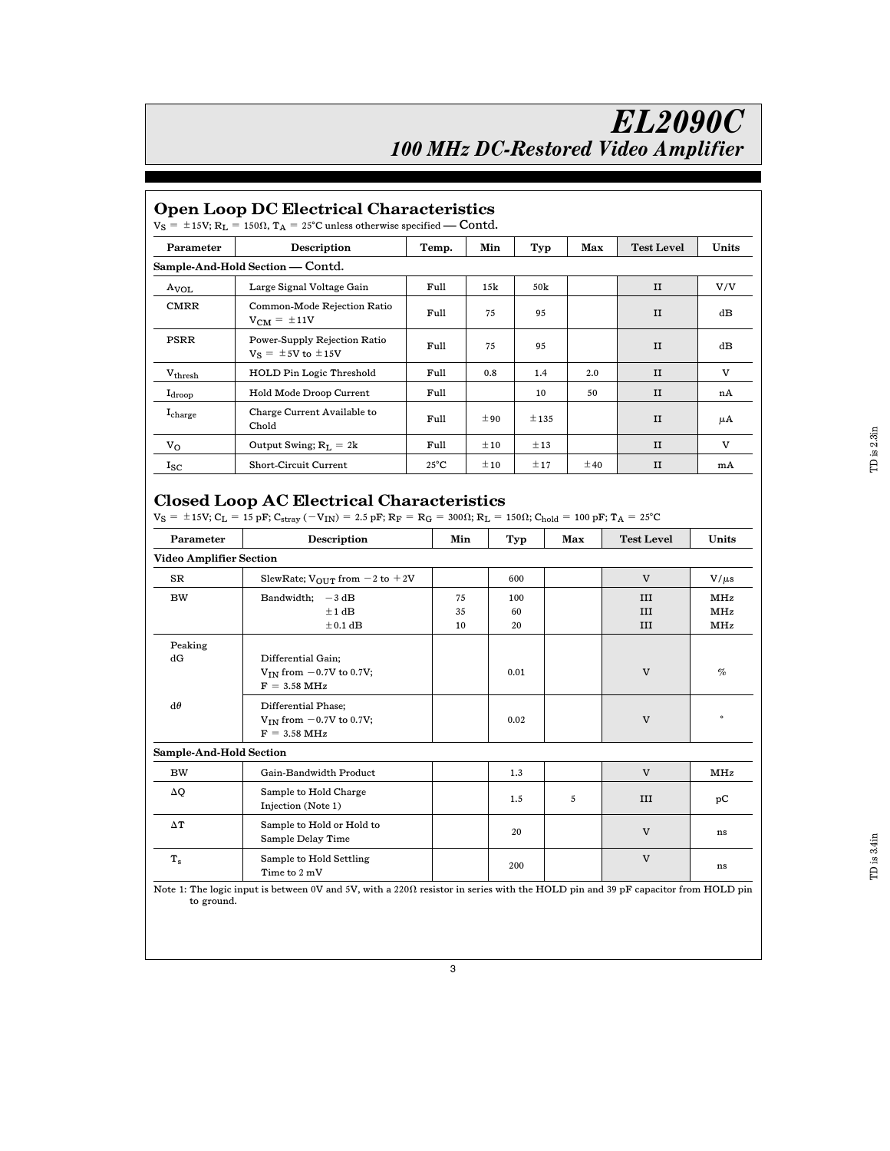## Open Loop DC Electrical Characteristics

| $V_S = \pm 15V$ ; $R_L = 150\Omega$ , $T_A = 25^{\circ}$ C unless otherwise specified — Contd. |                                                             |                |          |      |     |                   |       |  |  |  |  |
|------------------------------------------------------------------------------------------------|-------------------------------------------------------------|----------------|----------|------|-----|-------------------|-------|--|--|--|--|
| Parameter                                                                                      | <b>Description</b>                                          | Temp.          | Min      | Typ  | Max | <b>Test Level</b> | Units |  |  |  |  |
| Sample-And-Hold Section - Contd.                                                               |                                                             |                |          |      |     |                   |       |  |  |  |  |
| A <sub>VOL</sub>                                                                               | Large Signal Voltage Gain                                   | Full           | 15k      | 50k  |     | $_{\rm II}$       | V/V   |  |  |  |  |
| <b>CMRR</b>                                                                                    | Common-Mode Rejection Ratio<br>$V_{CM} = \pm 11V$           | Full           | 75       | 95   |     | $_{\rm II}$       | dB    |  |  |  |  |
| PSRR                                                                                           | Power-Supply Rejection Ratio<br>$V_S = \pm 5V$ to $\pm 15V$ | Full           | 75       | 95   |     | $_{\rm II}$       | dB    |  |  |  |  |
| $V_{\rm thresh}$                                                                               | <b>HOLD Pin Logic Threshold</b>                             | Full           | 0.8      | 1.4  | 2.0 | $_{\rm II}$       | V     |  |  |  |  |
| $I_{\rm drop}$                                                                                 | Hold Mode Droop Current                                     | Full           |          | 10   | 50  | $_{\rm II}$       | nA    |  |  |  |  |
| Icharge                                                                                        | Charge Current Available to<br>Chold                        | Full           | ±90      | ±135 |     | $_{\rm II}$       | μA    |  |  |  |  |
| $V_{\Omega}$                                                                                   | Output Swing; $R_I = 2k$                                    | Full           | $\pm 10$ | ±13  |     | $_{\rm II}$       | V     |  |  |  |  |
| $I_{SC}$                                                                                       | Short-Circuit Current                                       | $25^{\circ}$ C | $\pm 10$ | ±17  | ±40 | $_{\rm II}$       | mA    |  |  |  |  |

## Closed Loop AC Electrical Characteristics

 $V_S = \pm 15V$ ;  $C_L = 15$  pF;  $C_{stray}$  ( $-V_{IN}$ ) = 2.5 pF;  $R_F = R_G = 300\Omega$ ;  $R_L = 150\Omega$ ;  $C_{hold} = 100$  pF;  $T_A = 25°C$ 

| Parameter                      | Description                                                                     | Min            | Typ             | Max | <b>Test Level</b> | Units             |  |
|--------------------------------|---------------------------------------------------------------------------------|----------------|-----------------|-----|-------------------|-------------------|--|
| <b>Video Amplifier Section</b> |                                                                                 |                |                 |     |                   |                   |  |
| SR                             | SlewRate; $V_{\text{OUT}}$ from $-2$ to $+2V$                                   |                | 600             |     | $\mathbf{V}$      | $V/\mu s$         |  |
| <b>BW</b>                      | Bandwidth;<br>$-3$ dB<br>±1 dB<br>$\pm$ 0.1 dB                                  | 75<br>35<br>10 | 100<br>60<br>20 |     | III<br>III<br>III | MHz<br>MHz<br>MHz |  |
| Peaking                        |                                                                                 |                |                 |     |                   |                   |  |
| dG                             | Differential Gain;<br>$V_{IN}$ from $-0.7V$ to 0.7V;<br>$F = 3.58 \text{ MHz}$  |                | 0.01            |     | V                 | $\%$              |  |
| $d\theta$                      | Differential Phase;<br>$V_{IN}$ from $-0.7V$ to 0.7V;<br>$F = 3.58 \text{ MHz}$ |                | 0.02            |     | $\mathbf{V}$      | $\circ$           |  |
| Sample-And-Hold Section        |                                                                                 |                |                 |     |                   |                   |  |
| <b>BW</b>                      | Gain-Bandwidth Product                                                          |                | 1.3             |     | $\mathbf{V}$      | MHz               |  |
| ΔQ                             | Sample to Hold Charge<br>Injection (Note 1)                                     |                | 1.5             | 5   | III               | рC                |  |
| $\Delta T$                     | Sample to Hold or Hold to<br>Sample Delay Time                                  |                | 20              |     | V                 | ns                |  |
| $T_{\rm s}$                    | Sample to Hold Settling<br>Time to 2 mV                                         |                | 200             |     | $\overline{V}$    | ns                |  |

Note 1: The logic input is between 0V and 5V, with a 220X resistor in series with the HOLD pin and 39 pF capacitor from HOLD pin to ground.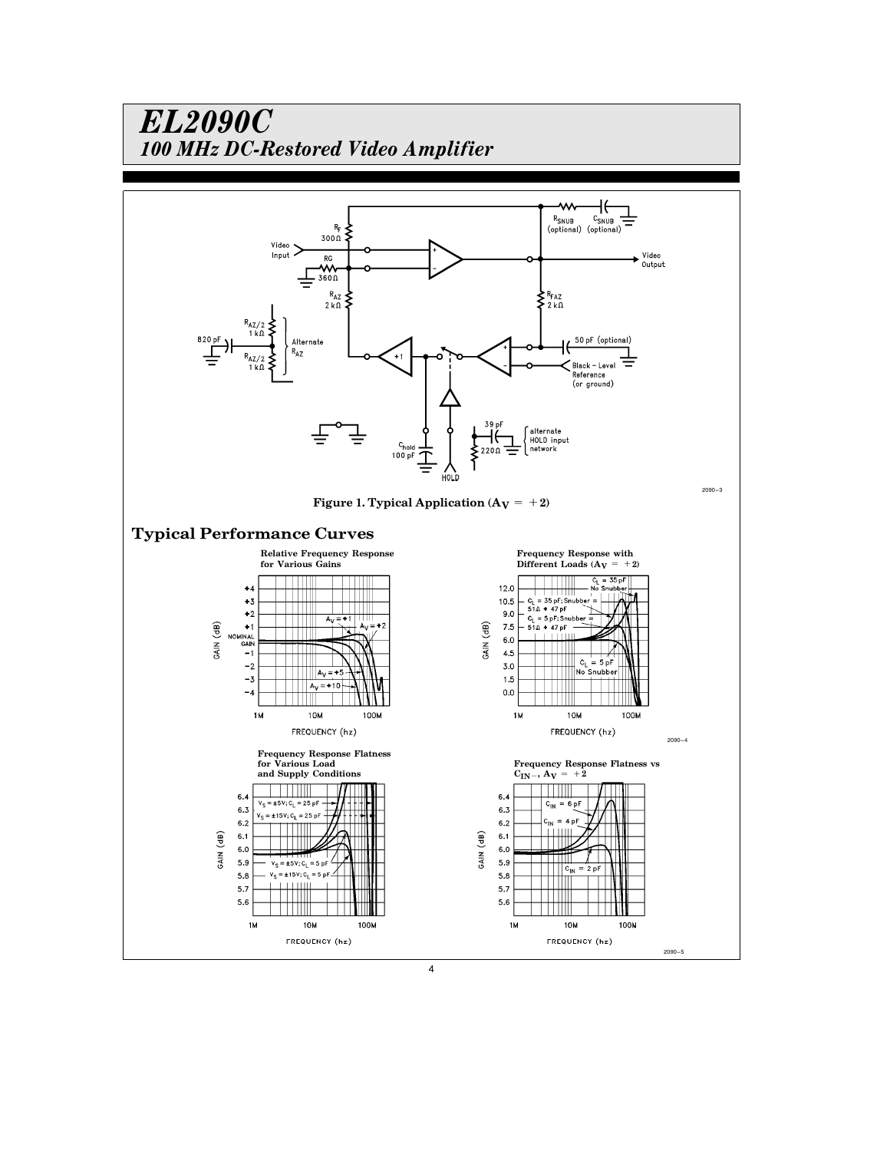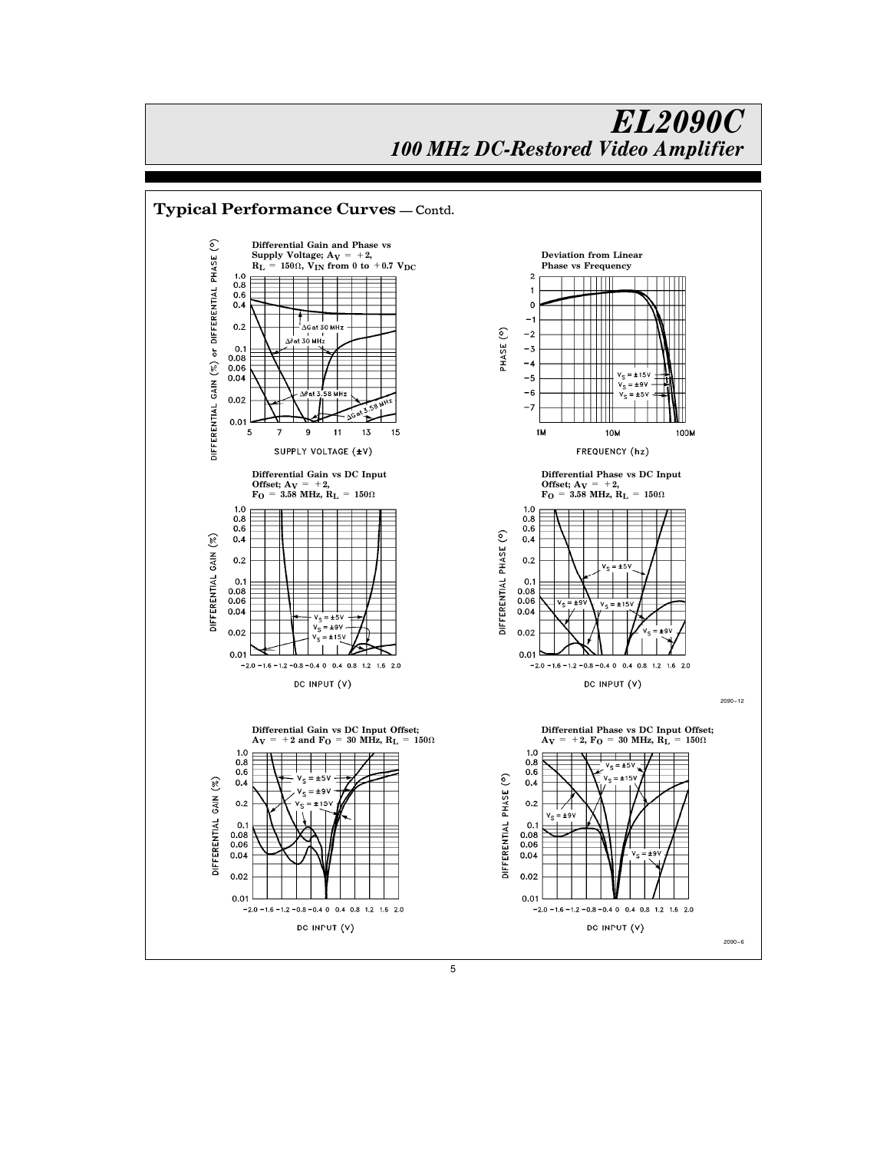

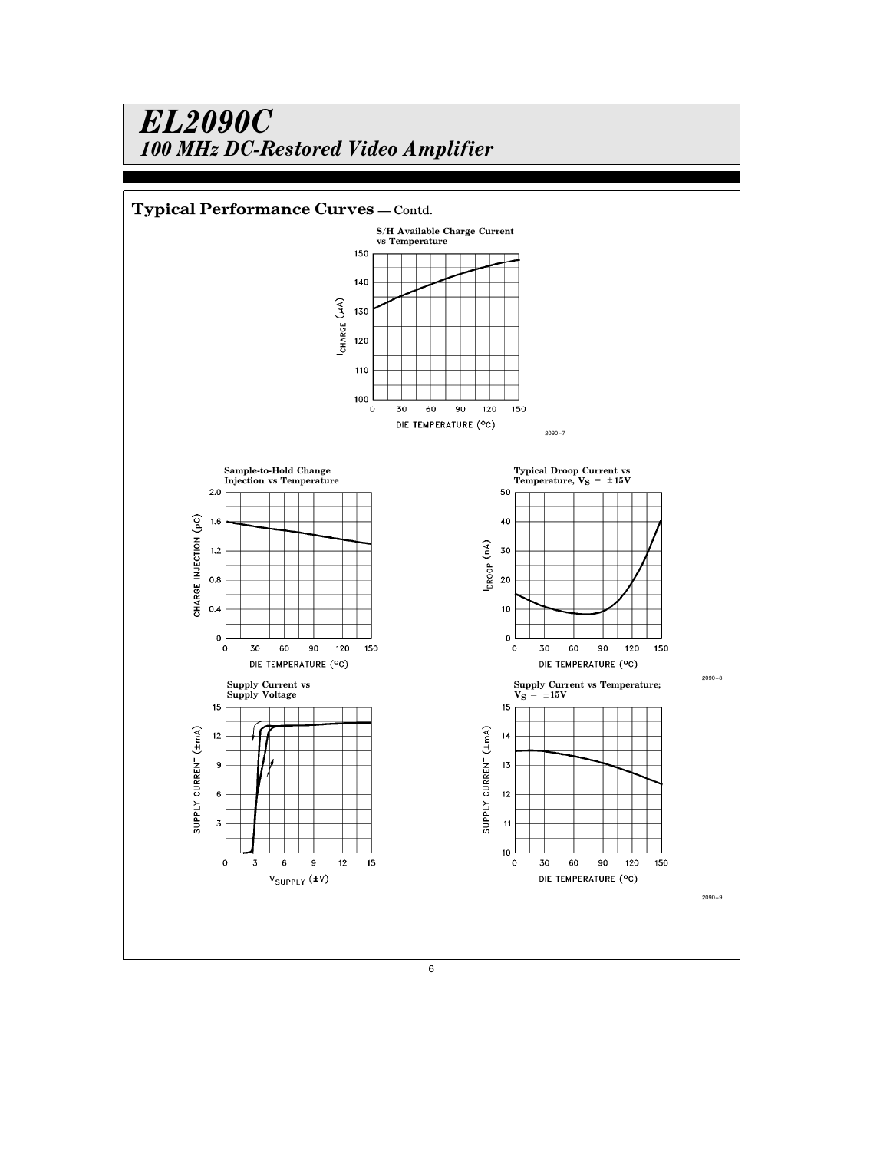

6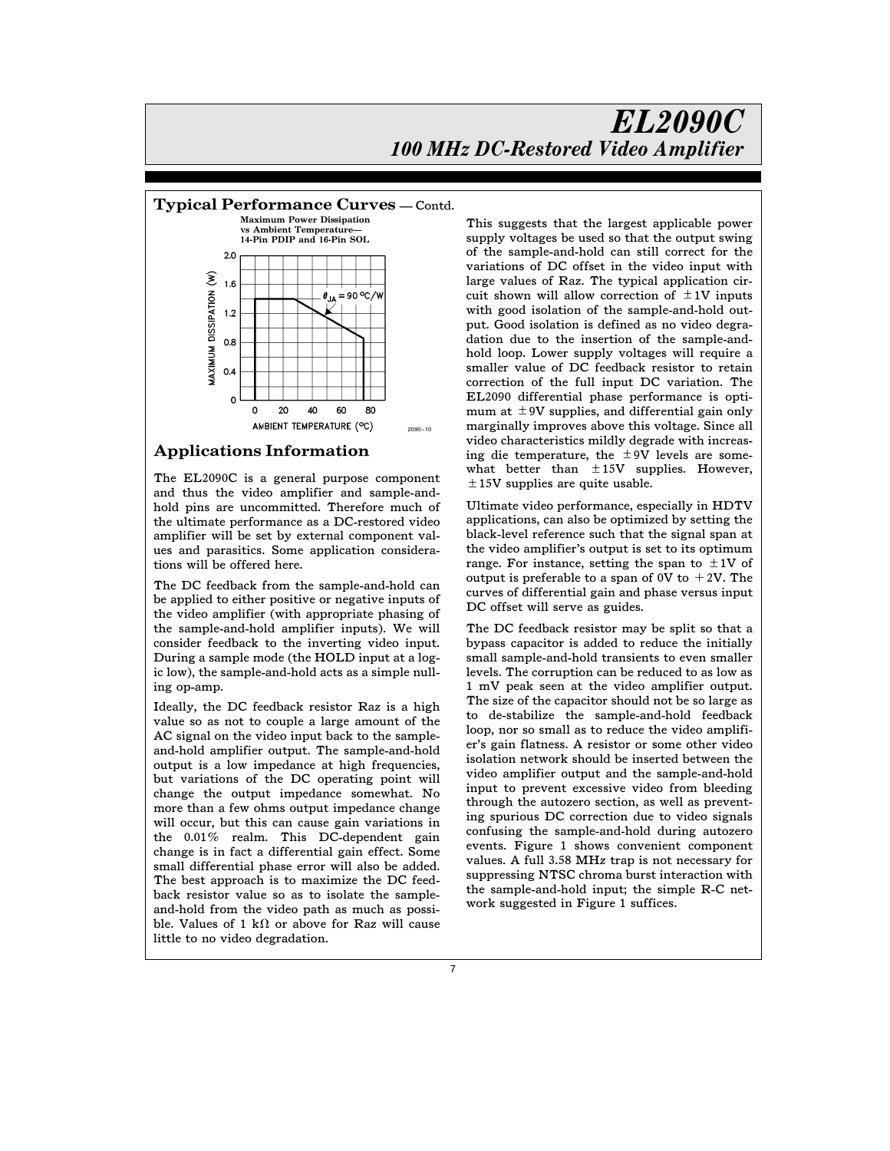

### Applications Information

The EL2090C is a general purpose component and thus the video amplifier and sample-andhold pins are uncommitted. Therefore much of the ultimate performance as a DC-restored video amplifier will be set by external component values and parasitics. Some application considerations will be offered here.

The DC feedback from the sample-and-hold can be applied to either positive or negative inputs of the video amplifier (with appropriate phasing of the sample-and-hold amplifier inputs). We will consider feedback to the inverting video input. During a sample mode (the HOLD input at a logic low), the sample-and-hold acts as a simple nulling op-amp.

Ideally, the DC feedback resistor Raz is a high value so as not to couple a large amount of the AC signal on the video input back to the sampleand-hold amplifier output. The sample-and-hold output is a low impedance at high frequencies, but variations of the DC operating point will change the output impedance somewhat. No more than a few ohms output impedance change will occur, but this can cause gain variations in the 0.01% realm. This DC-dependent gain change is in fact a differential gain effect. Some small differential phase error will also be added. The best approach is to maximize the DC feedback resistor value so as to isolate the sampleand-hold from the video path as much as possible. Values of 1 k $\Omega$  or above for Raz will cause little to no video degradation.

This suggests that the largest applicable power supply voltages be used so that the output swing of the sample-and-hold can still correct for the variations of DC offset in the video input with large values of Raz. The typical application circuit shown will allow correction of  $\pm 1V$  inputs with good isolation of the sample-and-hold output. Good isolation is defined as no video degradation due to the insertion of the sample-andhold loop. Lower supply voltages will require a smaller value of DC feedback resistor to retain correction of the full input DC variation. The EL2090 differential phase performance is optimum at  $\pm$  9V supplies, and differential gain only marginally improves above this voltage. Since all video characteristics mildly degrade with increasing die temperature, the  $\pm$ 9V levels are somewhat better than  $\pm 15V$  supplies. However,  $\pm$ 15V supplies are quite usable.

Ultimate video performance, especially in HDTV applications, can also be optimized by setting the black-level reference such that the signal span at the video amplifier's output is set to its optimum range. For instance, setting the span to  $\pm 1V$  of output is preferable to a span of 0V to  $+2V$ . The curves of differential gain and phase versus input DC offset will serve as guides.

The DC feedback resistor may be split so that a bypass capacitor is added to reduce the initially small sample-and-hold transients to even smaller levels. The corruption can be reduced to as low as 1 mV peak seen at the video amplifier output. The size of the capacitor should not be so large as to de-stabilize the sample-and-hold feedback loop, nor so small as to reduce the video amplifier's gain flatness. A resistor or some other video isolation network should be inserted between the video amplifier output and the sample-and-hold input to prevent excessive video from bleeding through the autozero section, as well as preventing spurious DC correction due to video signals confusing the sample-and-hold during autozero events. Figure 1 shows convenient component values. A full 3.58 MHz trap is not necessary for suppressing NTSC chroma burst interaction with the sample-and-hold input; the simple R-C network suggested in Figure 1 suffices.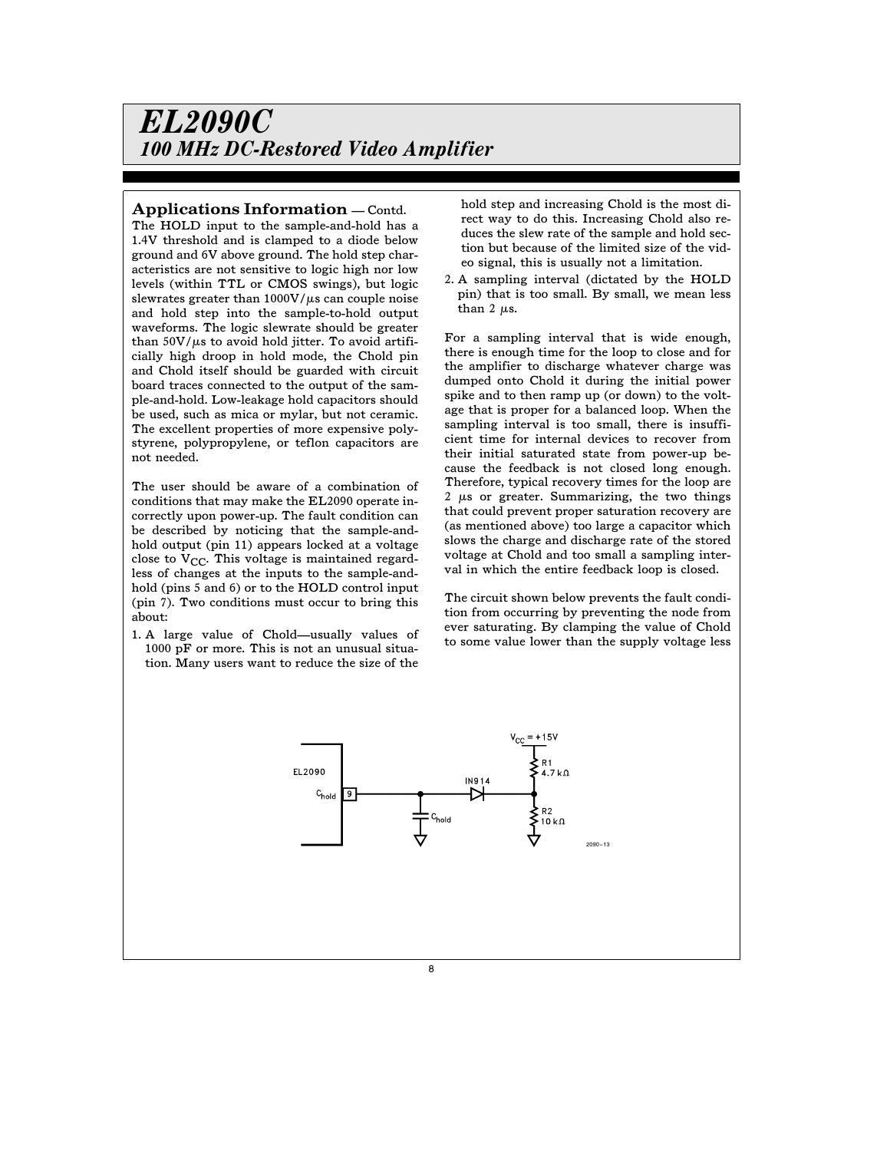#### Applications Information  $\sim$  Contd.

The HOLD input to the sample-and-hold has a 1.4V threshold and is clamped to a diode below ground and 6V above ground. The hold step characteristics are not sensitive to logic high nor low levels (within TTL or CMOS swings), but logic slewrates greater than  $1000V/\mu s$  can couple noise and hold step into the sample-to-hold output waveforms. The logic slewrate should be greater than  $50V/\mu s$  to avoid hold jitter. To avoid artificially high droop in hold mode, the Chold pin and Chold itself should be guarded with circuit board traces connected to the output of the sample-and-hold. Low-leakage hold capacitors should be used, such as mica or mylar, but not ceramic. The excellent properties of more expensive polystyrene, polypropylene, or teflon capacitors are not needed.

The user should be aware of a combination of conditions that may make the EL2090 operate incorrectly upon power-up. The fault condition can be described by noticing that the sample-andhold output (pin 11) appears locked at a voltage close to  $V_{CC}$ . This voltage is maintained regardless of changes at the inputs to the sample-andhold (pins 5 and 6) or to the HOLD control input (pin 7). Two conditions must occur to bring this about:

1. A large value of Chold-usually values of 1000 pF or more. This is not an unusual situation. Many users want to reduce the size of the

hold step and increasing Chold is the most direct way to do this. Increasing Chold also reduces the slew rate of the sample and hold section but because of the limited size of the video signal, this is usually not a limitation.

2. A sampling interval (dictated by the HOLD pin) that is too small. By small, we mean less than 2  $\mu$ s.

For a sampling interval that is wide enough, there is enough time for the loop to close and for the amplifier to discharge whatever charge was dumped onto Chold it during the initial power spike and to then ramp up (or down) to the voltage that is proper for a balanced loop. When the sampling interval is too small, there is insufficient time for internal devices to recover from their initial saturated state from power-up because the feedback is not closed long enough. Therefore, typical recovery times for the loop are 2  $\mu$ s or greater. Summarizing, the two things that could prevent proper saturation recovery are (as mentioned above) too large a capacitor which slows the charge and discharge rate of the stored voltage at Chold and too small a sampling interval in which the entire feedback loop is closed.

The circuit shown below prevents the fault condition from occurring by preventing the node from ever saturating. By clamping the value of Chold to some value lower than the supply voltage less

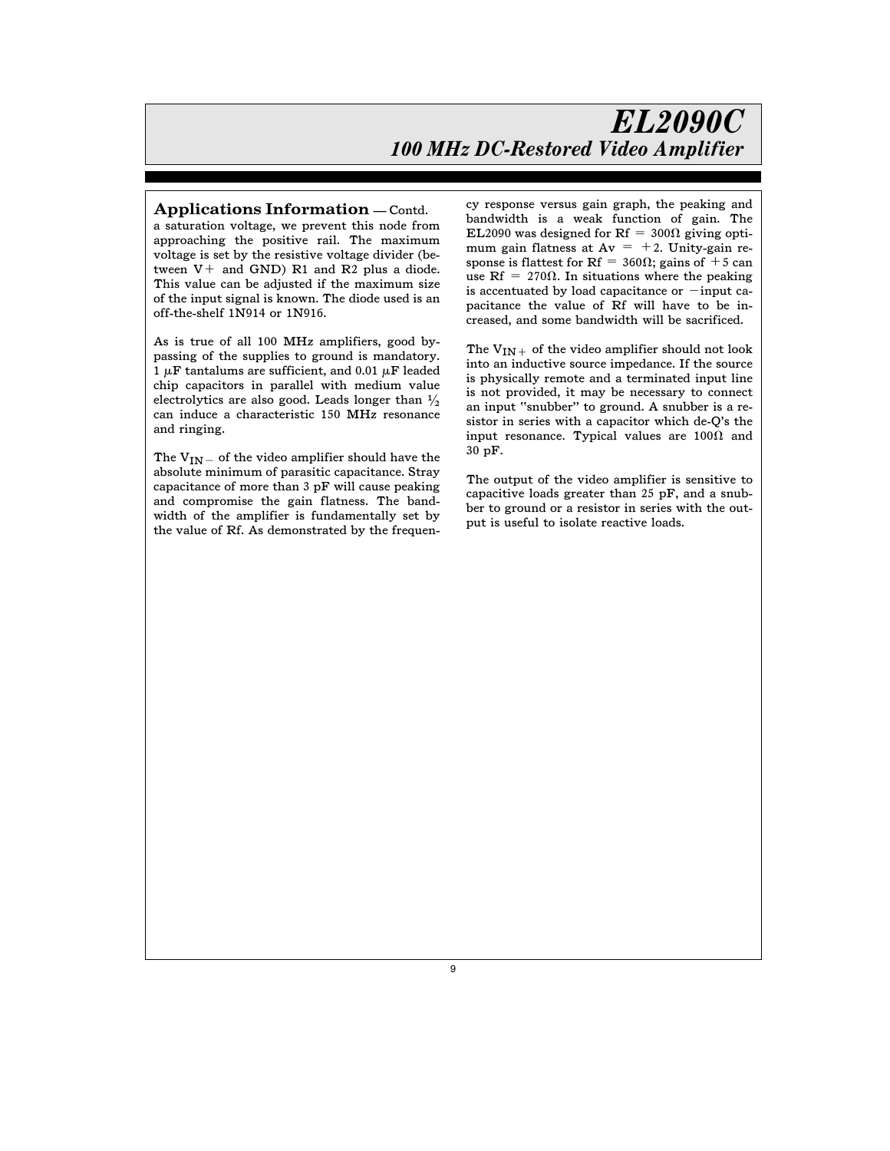#### Applications Information  $\sim$  Contd.

a saturation voltage, we prevent this node from approaching the positive rail. The maximum voltage is set by the resistive voltage divider (between  $V^+$  and GND) R1 and R2 plus a diode. This value can be adjusted if the maximum size of the input signal is known. The diode used is an off-the-shelf 1N914 or 1N916.

As is true of all 100 MHz amplifiers, good bypassing of the supplies to ground is mandatory. 1  $\mu$ F tantalums are sufficient, and 0.01  $\mu$ F leaded chip capacitors in parallel with medium value electrolytics are also good. Leads longer than  $\frac{1}{2}$ can induce a characteristic 150 MHz resonance and ringing.

The  $V_{IN}$  of the video amplifier should have the absolute minimum of parasitic capacitance. Stray capacitance of more than 3 pF will cause peaking and compromise the gain flatness. The bandwidth of the amplifier is fundamentally set by the value of Rf. As demonstrated by the frequency response versus gain graph, the peaking and bandwidth is a weak function of gain. The EL2090 was designed for Rf =  $300\Omega$  giving optimum gain flatness at  $Av = +2$ . Unity-gain response is flattest for Rf =  $360\Omega$ ; gains of +5 can use Rf = 270 $\Omega$ . In situations where the peaking is accentuated by load capacitance or  $-\text{input ca-}$ pacitance the value of Rf will have to be increased, and some bandwidth will be sacrificed.

The  $\mathrm{V_{IN+}}$  of the video amplifier should not look into an inductive source impedance. If the source is physically remote and a terminated input line is not provided, it may be necessary to connect an input ''snubber'' to ground. A snubber is a resistor in series with a capacitor which de-Q's the input resonance. Typical values are  $100\Omega$  and 30 pF.

The output of the video amplifier is sensitive to capacitive loads greater than 25 pF, and a snubber to ground or a resistor in series with the output is useful to isolate reactive loads.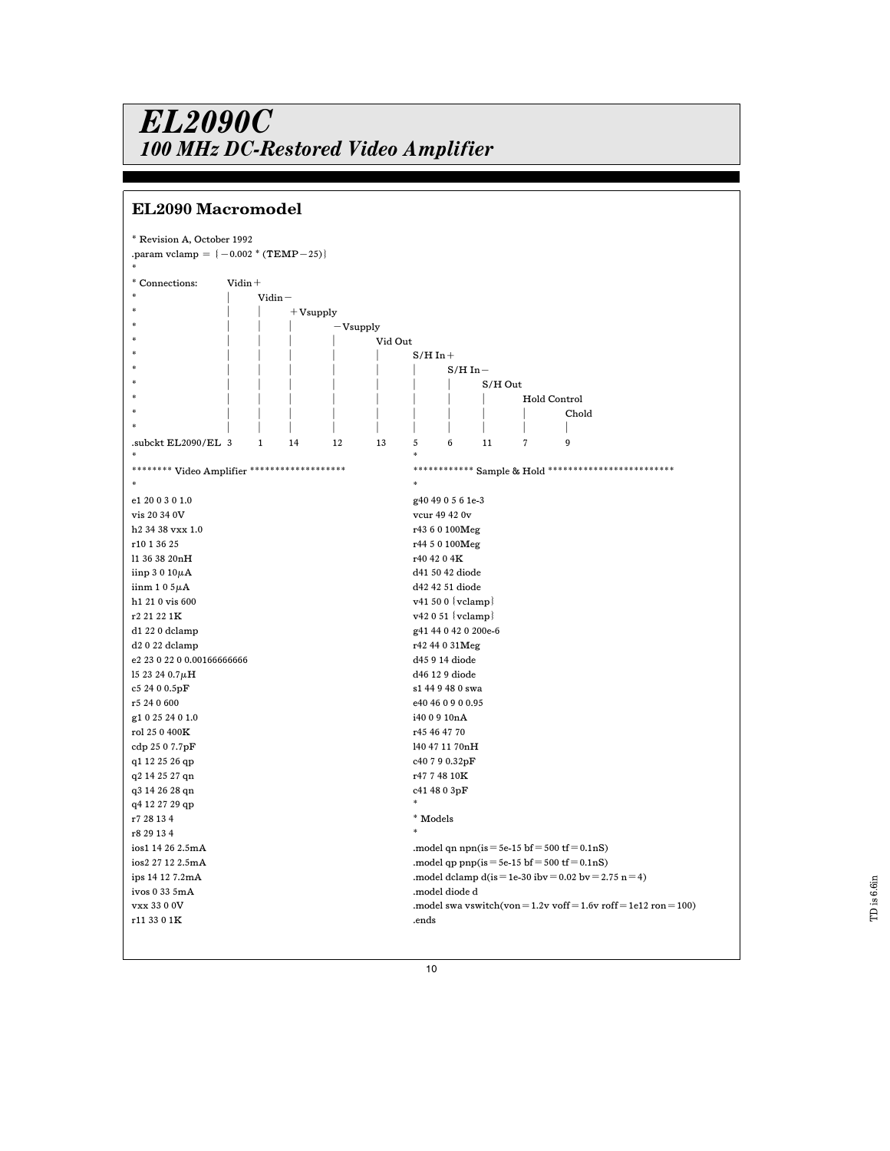# EL2090 Macromodel

| * Revision A, October 1992                    |            |              |    |    |              |              |                       |                     |                |  |                                                                           |  |  |  |
|-----------------------------------------------|------------|--------------|----|----|--------------|--------------|-----------------------|---------------------|----------------|--|---------------------------------------------------------------------------|--|--|--|
| .param vclamp = $(-0.002 * (TEMP - 25))$      |            |              |    |    |              |              |                       |                     |                |  |                                                                           |  |  |  |
|                                               |            |              |    |    |              |              |                       |                     |                |  |                                                                           |  |  |  |
| * Connections:                                | $V$ idin + |              |    |    |              |              |                       |                     |                |  |                                                                           |  |  |  |
|                                               |            | $V$ idin $-$ |    |    |              |              |                       |                     |                |  |                                                                           |  |  |  |
|                                               |            | $+$ Vsupply  |    |    |              |              |                       |                     |                |  |                                                                           |  |  |  |
|                                               |            | $-V$ supply  |    |    |              |              |                       |                     |                |  |                                                                           |  |  |  |
|                                               |            | Vid Out      |    |    |              |              |                       |                     |                |  |                                                                           |  |  |  |
|                                               |            |              |    |    | $S/H$ In $+$ |              |                       |                     |                |  |                                                                           |  |  |  |
|                                               |            |              |    |    |              | $S/H$ In $-$ |                       |                     |                |  |                                                                           |  |  |  |
|                                               |            |              |    |    |              |              |                       | $S/H$ Out           |                |  |                                                                           |  |  |  |
|                                               |            |              |    |    |              |              |                       |                     |                |  | Hold Control                                                              |  |  |  |
|                                               |            |              |    |    |              |              |                       |                     |                |  | Chold                                                                     |  |  |  |
|                                               |            |              |    |    |              |              |                       |                     |                |  |                                                                           |  |  |  |
| .subckt EL2090/EL 3                           |            | 1            | 14 | 12 | 13           | 5            | 6                     | 11                  | $\overline{7}$ |  | 9                                                                         |  |  |  |
|                                               |            |              |    |    |              |              |                       |                     |                |  |                                                                           |  |  |  |
| ******** Video Amplifier ******************** |            |              |    |    |              |              | *********             | Sample & Hold ***** |                |  |                                                                           |  |  |  |
|                                               |            |              |    |    |              |              |                       |                     |                |  |                                                                           |  |  |  |
| e1 20 0 3 0 1.0                               |            |              |    |    |              |              | g40 49 0 5 6 1e-3     |                     |                |  |                                                                           |  |  |  |
|                                               |            |              |    |    |              |              |                       |                     |                |  |                                                                           |  |  |  |
| vis 20 34 0V<br>vcur 49 42 0v                 |            |              |    |    |              |              |                       |                     |                |  |                                                                           |  |  |  |
| h <sub>2</sub> 34 38 vxx 1.0                  |            |              |    |    |              |              | r43 6 0 100Meg        |                     |                |  |                                                                           |  |  |  |
| r10 1 36 25                                   |            |              |    |    |              |              | r44 5 0 100Meg        |                     |                |  |                                                                           |  |  |  |
| 11 36 38 20nH                                 |            |              |    |    |              |              | r40 42 0 4K           |                     |                |  |                                                                           |  |  |  |
| iinp $3010\mu$ A                              |            |              |    |    |              |              | d41 50 42 diode       |                     |                |  |                                                                           |  |  |  |
| $i$ inm 105 $\mu$ A                           |            |              |    |    |              |              | d42 42 51 diode       |                     |                |  |                                                                           |  |  |  |
| h1 21 0 vis 600                               |            |              |    |    |              |              | $v41500$ { $vclamp$ } |                     |                |  |                                                                           |  |  |  |
| r2 21 22 1K                                   |            |              |    |    |              |              | $v42051$ { $vclamp$ } |                     |                |  |                                                                           |  |  |  |
| d1 22 0 dclamp                                |            |              |    |    |              |              | g41 44 0 42 0 200e-6  |                     |                |  |                                                                           |  |  |  |
| d2 0 22 dclamp                                |            |              |    |    |              |              | r42 44 0 31Meg        |                     |                |  |                                                                           |  |  |  |
| e2 23 0 22 0 0.001666666666                   |            |              |    |    |              |              | d45 9 14 diode        |                     |                |  |                                                                           |  |  |  |
| 15 23 24 $0.7\mu$ H                           |            |              |    |    |              |              | d46 12 9 diode        |                     |                |  |                                                                           |  |  |  |
| c5 24 0 0.5pF                                 |            |              |    |    |              |              | s1 44 9 48 0 swa      |                     |                |  |                                                                           |  |  |  |
| r5 24 0 600                                   |            |              |    |    |              |              | e40 46 0 9 0 0.95     |                     |                |  |                                                                           |  |  |  |
| g1 0 25 24 0 1.0                              |            |              |    |    |              |              | i40 0 9 10nA          |                     |                |  |                                                                           |  |  |  |
| rol 25 0 400K                                 |            |              |    |    |              |              | r45 46 47 70          |                     |                |  |                                                                           |  |  |  |
| cdp 25 0 7.7pF                                |            |              |    |    |              |              |                       | 140 47 11 70nH      |                |  |                                                                           |  |  |  |
| q1 12 25 26 qp                                |            |              |    |    |              |              | c40 7 9 0.32pF        |                     |                |  |                                                                           |  |  |  |
| q2 14 25 27 qn                                |            |              |    |    |              |              | r4774810K             |                     |                |  |                                                                           |  |  |  |
| q3 14 26 28 qn                                |            |              |    |    |              |              | c41 48 0 3pF          |                     |                |  |                                                                           |  |  |  |
| q4 12 27 29 qp                                |            |              |    |    |              |              |                       |                     |                |  |                                                                           |  |  |  |
| r7 28 13 4                                    |            |              |    |    |              | * Models     |                       |                     |                |  |                                                                           |  |  |  |
| r8 29 13 4                                    |            |              |    |    |              |              |                       |                     |                |  |                                                                           |  |  |  |
| ios1 14 26 2.5mA                              |            |              |    |    |              |              |                       |                     |                |  | .model qn npn(is = 5e-15 bf = 500 tf = $0.1nS$ )                          |  |  |  |
| ios2 27 12 2.5mA                              |            |              |    |    |              |              |                       |                     |                |  | .model qp pnp(is=5e-15 bf=500 tf=0.1nS)                                   |  |  |  |
| ips 14 12 7.2mA                               |            |              |    |    |              |              |                       |                     |                |  | .model dclamp d(is = 1e-30 ibv = $0.02$ bv = $2.75$ n = 4)                |  |  |  |
| ivos 0 33 5mA                                 |            |              |    |    |              |              | .model diode d        |                     |                |  |                                                                           |  |  |  |
| vxx 33 0 0V                                   |            |              |    |    |              |              |                       |                     |                |  | .model swa vswitch(von = $1.2v$ voff = $1.6v$ roff = $1e12$ ron = $100$ ) |  |  |  |
| r11 33 0 1K                                   |            |              |    |    |              | .ends        |                       |                     |                |  |                                                                           |  |  |  |
|                                               |            |              |    |    |              |              |                       |                     |                |  |                                                                           |  |  |  |
|                                               |            |              |    |    |              |              |                       |                     |                |  |                                                                           |  |  |  |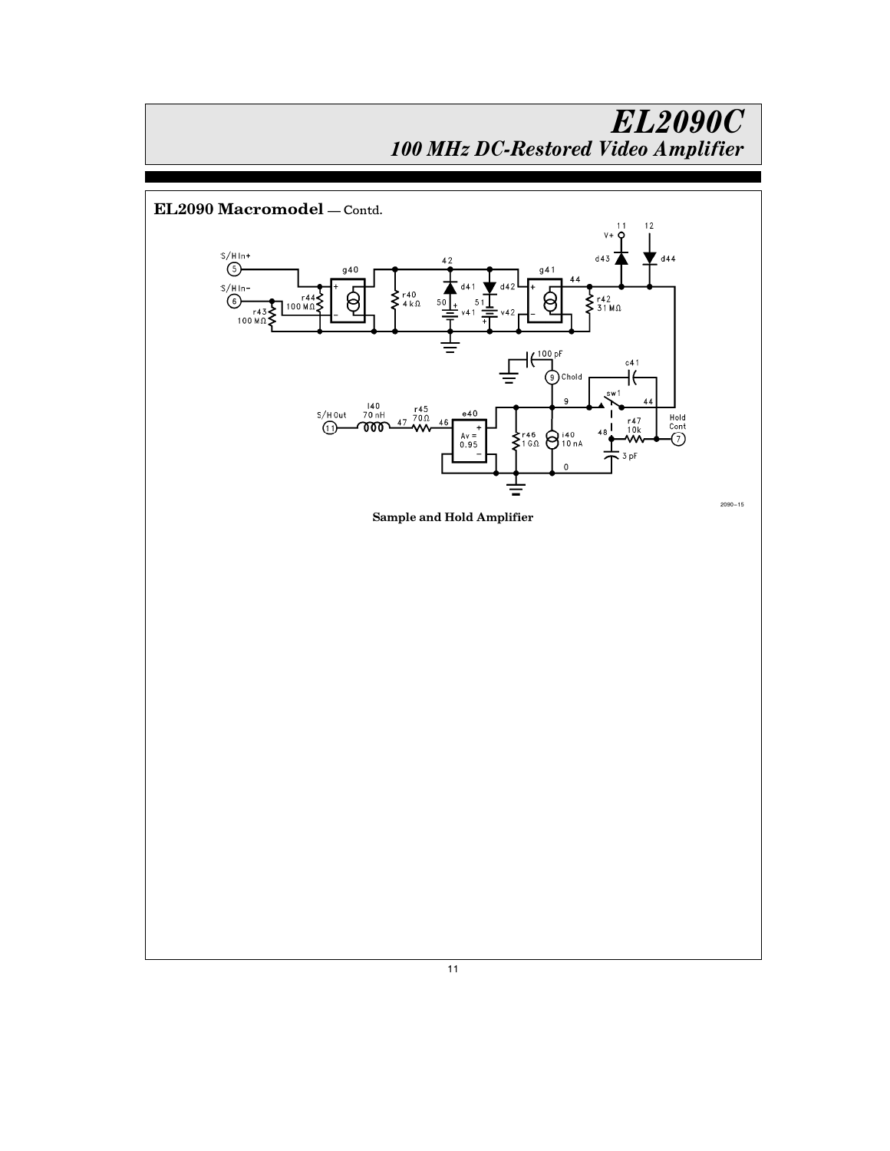